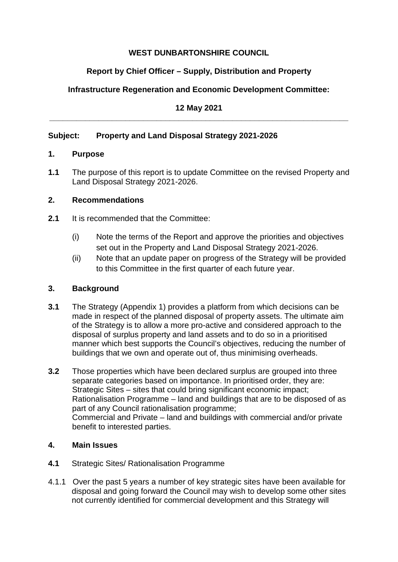## **WEST DUNBARTONSHIRE COUNCIL**

# **Report by Chief Officer – Supply, Distribution and Property**

## **Infrastructure Regeneration and Economic Development Committee:**

## **12 May 2021 \_\_\_\_\_\_\_\_\_\_\_\_\_\_\_\_\_\_\_\_\_\_\_\_\_\_\_\_\_\_\_\_\_\_\_\_\_\_\_\_\_\_\_\_\_\_\_\_\_\_\_\_\_\_\_\_\_\_\_\_\_\_\_\_\_\_\_**

## **Subject: Property and Land Disposal Strategy 2021-2026**

### **1. Purpose**

**1.1** The purpose of this report is to update Committee on the revised Property and Land Disposal Strategy 2021-2026.

### **2. Recommendations**

- **2.1** It is recommended that the Committee:
	- (i) Note the terms of the Report and approve the priorities and objectives set out in the Property and Land Disposal Strategy 2021-2026.
	- (ii) Note that an update paper on progress of the Strategy will be provided to this Committee in the first quarter of each future year.

## **3. Background**

- **3.1** The Strategy (Appendix 1) provides a platform from which decisions can be made in respect of the planned disposal of property assets. The ultimate aim of the Strategy is to allow a more pro-active and considered approach to the disposal of surplus property and land assets and to do so in a prioritised manner which best supports the Council's objectives, reducing the number of buildings that we own and operate out of, thus minimising overheads.
- **3.2** Those properties which have been declared surplus are grouped into three separate categories based on importance. In prioritised order, they are: Strategic Sites – sites that could bring significant economic impact; Rationalisation Programme – land and buildings that are to be disposed of as part of any Council rationalisation programme; Commercial and Private – land and buildings with commercial and/or private benefit to interested parties.

## **4. Main Issues**

- **4.1** Strategic Sites/ Rationalisation Programme
- 4.1.1 Over the past 5 years a number of key strategic sites have been available for disposal and going forward the Council may wish to develop some other sites not currently identified for commercial development and this Strategy will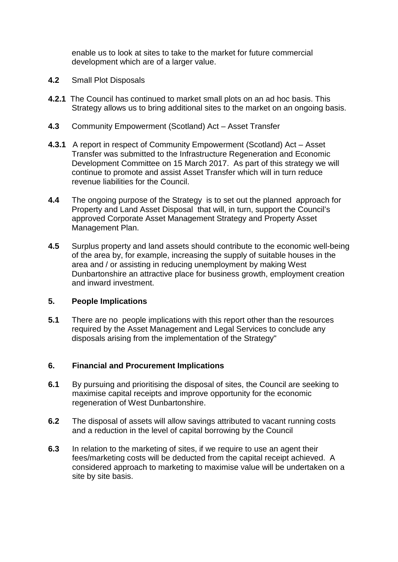enable us to look at sites to take to the market for future commercial development which are of a larger value.

- **4.2** Small Plot Disposals
- **4.2.1** The Council has continued to market small plots on an ad hoc basis. This Strategy allows us to bring additional sites to the market on an ongoing basis.
- **4.3** Community Empowerment (Scotland) Act Asset Transfer
- **4.3.1** A report in respect of Community Empowerment (Scotland) Act Asset Transfer was submitted to the Infrastructure Regeneration and Economic Development Committee on 15 March 2017. As part of this strategy we will continue to promote and assist Asset Transfer which will in turn reduce revenue liabilities for the Council.
- **4.4** The ongoing purpose of the Strategy is to set out the planned approach for Property and Land Asset Disposal that will, in turn, support the Council's approved Corporate Asset Management Strategy and Property Asset Management Plan.
- **4.5** Surplus property and land assets should contribute to the economic well-being of the area by, for example, increasing the supply of suitable houses in the area and / or assisting in reducing unemployment by making West Dunbartonshire an attractive place for business growth, employment creation and inward investment.

#### **5. People Implications**

**5.1** There are no people implications with this report other than the resources required by the Asset Management and Legal Services to conclude any disposals arising from the implementation of the Strategy"

#### **6. Financial and Procurement Implications**

- **6.1** By pursuing and prioritising the disposal of sites, the Council are seeking to maximise capital receipts and improve opportunity for the economic regeneration of West Dunbartonshire.
- **6.2** The disposal of assets will allow savings attributed to vacant running costs and a reduction in the level of capital borrowing by the Council
- **6.3** In relation to the marketing of sites, if we require to use an agent their fees/marketing costs will be deducted from the capital receipt achieved. A considered approach to marketing to maximise value will be undertaken on a site by site basis.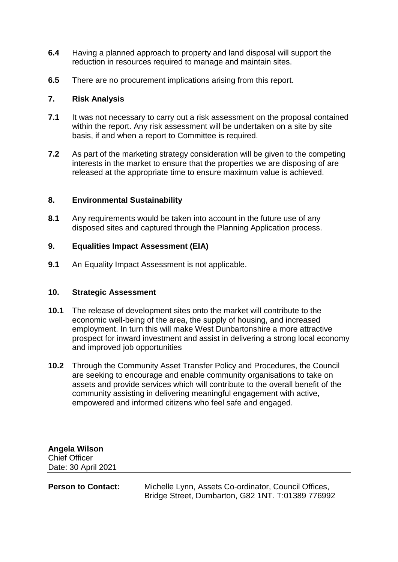- **6.4** Having a planned approach to property and land disposal will support the reduction in resources required to manage and maintain sites.
- **6.5** There are no procurement implications arising from this report.

#### **7. Risk Analysis**

- **7.1** It was not necessary to carry out a risk assessment on the proposal contained within the report. Any risk assessment will be undertaken on a site by site basis, if and when a report to Committee is required.
- **7.2** As part of the marketing strategy consideration will be given to the competing interests in the market to ensure that the properties we are disposing of are released at the appropriate time to ensure maximum value is achieved.

#### **8. Environmental Sustainability**

**8.1** Any requirements would be taken into account in the future use of any disposed sites and captured through the Planning Application process.

#### **9. Equalities Impact Assessment (EIA)**

**9.1** An Equality Impact Assessment is not applicable.

#### **10. Strategic Assessment**

- **10.1** The release of development sites onto the market will contribute to the economic well-being of the area, the supply of housing, and increased employment. In turn this will make West Dunbartonshire a more attractive prospect for inward investment and assist in delivering a strong local economy and improved job opportunities
- **10.2** Through the Community Asset Transfer Policy and Procedures, the Council are seeking to encourage and enable community organisations to take on assets and provide services which will contribute to the overall benefit of the community assisting in delivering meaningful engagement with active, empowered and informed citizens who feel safe and engaged.

**Angela Wilson**  Chief Officer Date: 30 April 2021

**Person to Contact:** Michelle Lynn, Assets Co-ordinator, Council Offices, Bridge Street, Dumbarton, G82 1NT. T:01389 776992